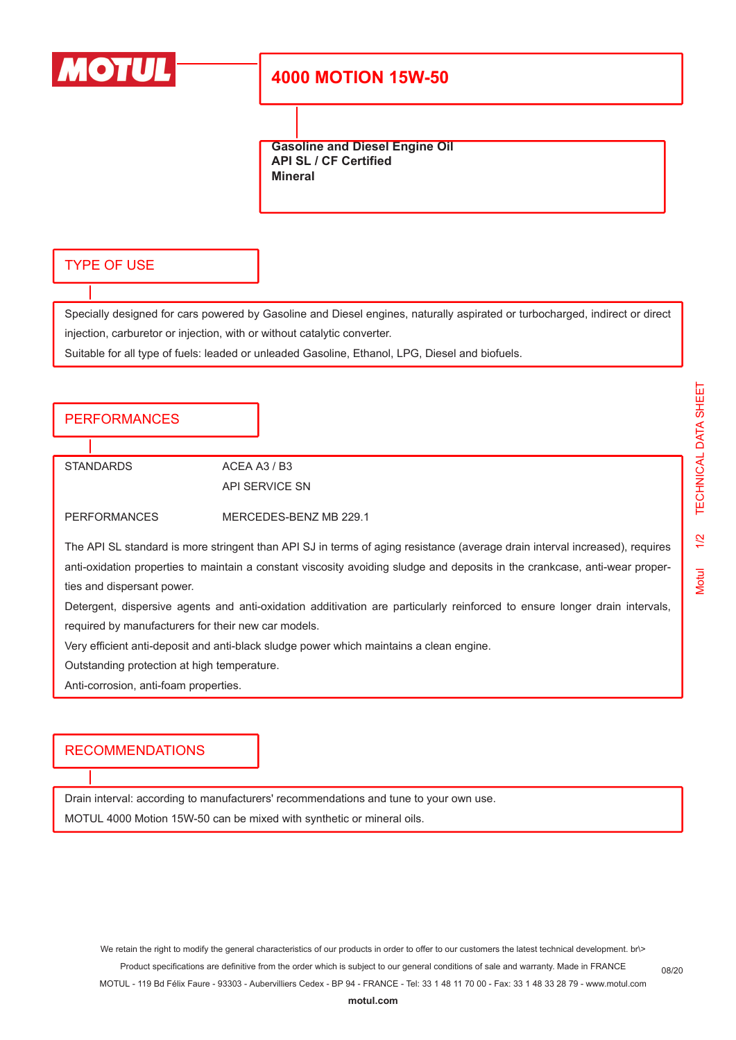

## **4000 MOTION 15W-50**

**Gasoline and Diesel Engine Oil API SL / CF Certified Mineral**

### TYPE OF USE

Specially designed for cars powered by Gasoline and Diesel engines, naturally aspirated or turbocharged, indirect or direct injection, carburetor or injection, with or without catalytic converter.

Suitable for all type of fuels: leaded or unleaded Gasoline, Ethanol, LPG, Diesel and biofuels.

#### **PERFORMANCES**

STANDARDS ACEA A3 / B3

API SERVICE SN

PERFORMANCES MERCEDES-BENZ MB 229.1

The API SL standard is more stringent than API SJ in terms of aging resistance (average drain interval increased), requires anti-oxidation properties to maintain a constant viscosity avoiding sludge and deposits in the crankcase, anti-wear properties and dispersant power.

Detergent, dispersive agents and anti-oxidation additivation are particularly reinforced to ensure longer drain intervals, required by manufacturers for their new car models.

Very efficient anti-deposit and anti-black sludge power which maintains a clean engine.

Outstanding protection at high temperature.

Anti-corrosion, anti-foam properties.

#### RECOMMENDATIONS

Drain interval: according to manufacturers' recommendations and tune to your own use. MOTUL 4000 Motion 15W-50 can be mixed with synthetic or mineral oils.

We retain the right to modify the general characteristics of our products in order to offer to our customers the latest technical development. br\> Product specifications are definitive from the order which is subject to our general conditions of sale and warranty. Made in FRANCE

MOTUL - 119 Bd Félix Faure - 93303 - Aubervilliers Cedex - BP 94 - FRANCE - Tel: 33 1 48 11 70 00 - Fax: 33 1 48 33 28 79 - www.motul.com

08/20